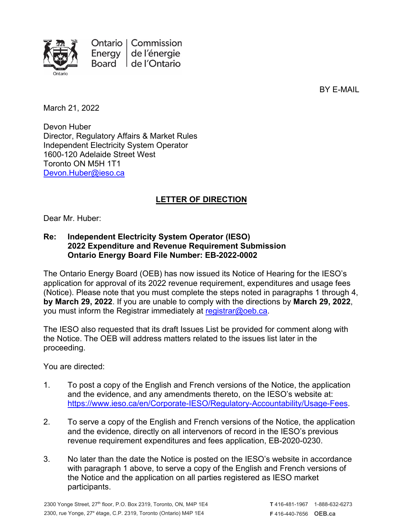

Ontario | Commission Energy de l'énergie Board de l'Ontario

BY E-MAIL

March 21, 2022

Devon Huber Director, Regulatory Affairs & Market Rules Independent Electricity System Operator 1600-120 Adelaide Street West Toronto ON M5H 1T1 [Devon.Huber@ieso.ca](mailto:Devon.Huber@ieso.ca)

## **LETTER OF DIRECTION**

Dear Mr. Huber:

## **Re: Independent Electricity System Operator (IESO) 2022 Expenditure and Revenue Requirement Submission Ontario Energy Board File Number: EB-2022-0002**

The Ontario Energy Board (OEB) has now issued its Notice of Hearing for the IESO's application for approval of its 2022 revenue requirement, expenditures and usage fees (Notice). Please note that you must complete the steps noted in paragraphs 1 through 4, **by March 29, 2022**. If you are unable to comply with the directions by **March 29, 2022**, you must inform the Registrar immediately at [registrar@oeb.ca.](mailto:registrar@oeb.ca)

The IESO also requested that its draft Issues List be provided for comment along with the Notice. The OEB will address matters related to the issues list later in the proceeding.

You are directed:

- 1. To post a copy of the English and French versions of the Notice, the application and the evidence, and any amendments thereto, on the IESO's website at: [https://www.ieso.ca/en/Corporate-IESO/Regulatory-Accountability/Usage-Fees.](https://www.ieso.ca/en/Corporate-IESO/Regulatory-Accountability/Usage-Fees)
- 2. To serve a copy of the English and French versions of the Notice, the application and the evidence, directly on all intervenors of record in the IESO's previous revenue requirement expenditures and fees application, EB-2020-0230.
- 3. No later than the date the Notice is posted on the IESO's website in accordance with paragraph 1 above, to serve a copy of the English and French versions of the Notice and the application on all parties registered as IESO market participants.